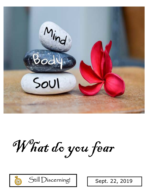

What do you fear



Still Discerning! | Sept. 22, 2019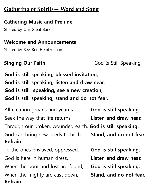# **Gathering of Spirits— Word and Song**

## **Gathering Music and Prelude**

Shared by Our Great Band

### **Welcome and Announcements**

Shared by Rev. Ken Heintzelman

**Singing Our Faith**  God Is Still Speaking

**God is still speaking, blessed invitation, God is still speaking, listen and draw near, God is still speaking, see a new creation, God is still speaking, stand and do not fear.** 

All creation groans and yearns. **God is still speaking.** Seek the way that life returns. **Listen and draw near.** Through our broken, wounded earth, **God is still speaking.** God can bring new seeds to birth. **Stand, and do not fear. Refrain**  To the ones enslaved, oppressed, **God is still speaking.** God is here in human dress. **Listen and draw near.** When the poor and lost are found, **God is still speaking.** When the mighty are cast down, **Stand, and do not fear. Refrain**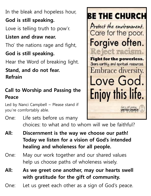In the bleak and hopeless hour,

# **God is still speaking.**

Love is telling truth to pow'r.

# **Listen and draw near.**

Tho' the nations rage and fight,

# **God is still speaking.**

Hear the Word of breaking light.

# **Stand, and do not fear. Refrain**

# **Call to Worship and Passing the Peace**

Led by Nanci Campbell  $\sim$  Please stand if you're comfortably able.



- One: Life sets before us many choices: to what and to whom will we be faithful?
- **All: Discernment is the way we choose our path! Today we listen for a vision of God's intended healing and wholeness for all people.**
- One: May our work together and our shared values help us choose paths of wholeness wisely.
- **All: As we greet one another, may our hearts swell with gratitude for the gift of community.**
- One: Let us greet each other as a sign of God's peace.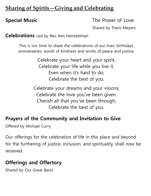# **Sharing of Spirits—Giving and Celebrating**

**Special Music The Power of Love** 

Shared by Travis Meyers

**Celebrations** Led by Rev. Ken Heintzelman

This is our time to share the celebrations of our lives: birthdays, anniversaries, words of kindness and works of peace and justice.

> Celebrate your heart and your spirit, Celebrate your life while you live it. Even when it's hard to do, Celebrate the best of you.

Celebrate your dreams and your visions, Celebrate the love you've been given. Cherish all that you've been through, Celebrate the best of you.

## **Prayers of the Community and Invitation to Give**

Offered by Michael Curry

Our offerings for the celebration of life in this place and beyond for the furthering of justice, inclusion, and spirituality, shall now be received.

# **Offerings and Offertory**

Shared by Our Great Band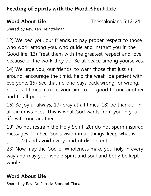# **Feeding of Spirits with the Word About Life**

**Word About Life** 1 Thessalonians 5:12-24

Shared by Rev. Ken Heintzelman

12) We beg you, our friends, to pay proper respect to those who work among you, who guide and instruct you in the Good life. 13) Treat them with the greatest respect and love because of the work they do. Be at peace among yourselves.

14) We urge you, our friends, to warn those that just sit around, encourage the timid, help the weak, be patient with everyone. 15) See that no one pays back wrong for wrong, but at all times make it your aim to do good to one another and to all people.

16) Be joyful always, 17) pray at all times, 18) be thankful in all circumstances. This is what God wants from you in your life with one another.

19) Do not restrain the Holy Spirit; 20) do not spurn inspired messages. 21) See God's vision in all things: keep what is good 22) and avoid every kind of discontent.

23) Now may the God of Wholeness make you holy in every way and may your whole spirit and soul and body be kept whole.

### **Word About Life**

Shared by Rev. Dr. Patricia Standtal Clarke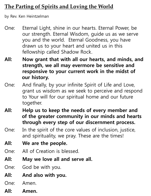# **The Parting of Spirits and Loving the World**

by Rev. Ken Heintzelman

- One: Eternal Light, shine in our hearts. Eternal Power, be our strength. Eternal Wisdom, guide us as we serve you and the world. Eternal Goodness, you have drawn us to your heart and united us in this fellowship called Shadow Rock.
- **All: Now grant that with all our hearts, and minds, and strength, we all may evermore be sensitive and responsive to your current work in the midst of our history.**
- One: And finally, by your infinite Spirit of Life and Love, grant us wisdom as we seek to perceive and respond to Your will for our spiritual home and our future together.
- **All: Help us to keep the needs of every member and of the greater community in our minds and hearts through every step of our discernment process.**
- One: In the spirit of the core values of inclusion, justice, and spirituality, we pray. These are the times!
- **All: We are the people.**
- One: All of Creation is blessed.
- **All: May we love all and serve all.**
- One: God be with you.
- **All: And also with you.**
- One: Amen.
- **All: Amen.**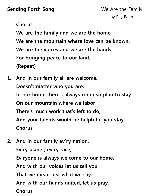**Sending Forth Song** We Are the Family

### **Chorus**

 **We are the family and we are the home, We are the mountain where love can be known. We are the voices and we are the hands For bringing peace to our land. (Repeat)** 

- **1. And in our family all are welcome, Doesn't matter who you are, In our home there's always room so plan to stay. On our mountain where we labor There's much work that's left to do, And your talents would be helpful if you stay. Chorus**
- **2. And in our family ev'ry nation, Ev'ry planet, ev'ry race, Ev'ryone is always welcome to our home. And with our voices let us tell you That we mean just what we say, And with our hands united, let us pray. Chorus**